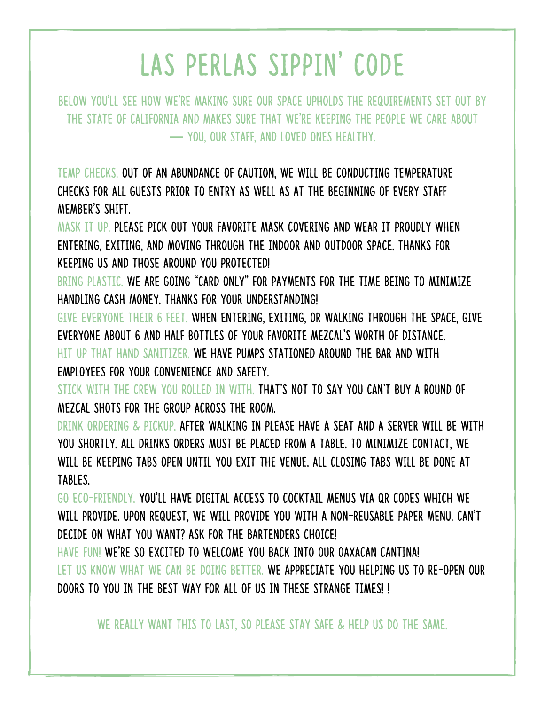## LAS PERLAS SIPPIN' CODE

Below you'll see how we're making sure our space upholds the requirements set out by the state of California and makes sure that we're keeping the people we care about **—** you, our staff, and loved ones healthy.

TEMP CHECKS. Out of an abundance of caution, we will be conducting temperature checks for all guests prior to entry as well as at the beginning of every staff member's shift.

MASK IT UP. Please pick out your favorite mask covering and wear it proudly when entering, exiting, and moving through the indoor and outdoor space. Thanks for keeping us and those around you protected!

BRING PLASTIC. We are going "card only" for payments for the time being to minimize handling cash money. Thanks for your understanding!

GIVE EVERYONE THEIR 6 FEET. When entering, exiting, or walking through the space, give everyone about 6 and half bottles of your favorite Mezcal's worth of distance. HIT UP THAT HAND SANITIZER. We have pumps stationed around the bar and with employees for your convenience and safety.

STICK WITH THE CREW YOU ROLLED IN WITH. That's not to say you can't buy a round of Mezcal shots for the group across the room.

drink ordering & pickup. After walking in please have a seat and a server will be with you shortly. All drinks orders must be placed from a table. To minimize contact, we will be keeping tabs open until you exit the venue. All closing tabs will be done at tables.

GO ECO-FRIENDLY. You'll have digital access to cocktail menus via QR codes which we WILL PROVIDE. UPON REQUEST, WE WILL PROVIDE YOU WITH A NON-REUSABLE PAPER MENU. CAN'T decide on what you want? Ask for the bartenders choice!

HAVE FUN! We're so excited to welcome you back into our Oaxacan cantina! LET US KNOW WHAT WE CAN BE DOING BETTER. We appreciate you helping us to re-open our doors to you in the best way for all of us in these strange times! !

We really want this to last, so please stay safe & help us do the same.